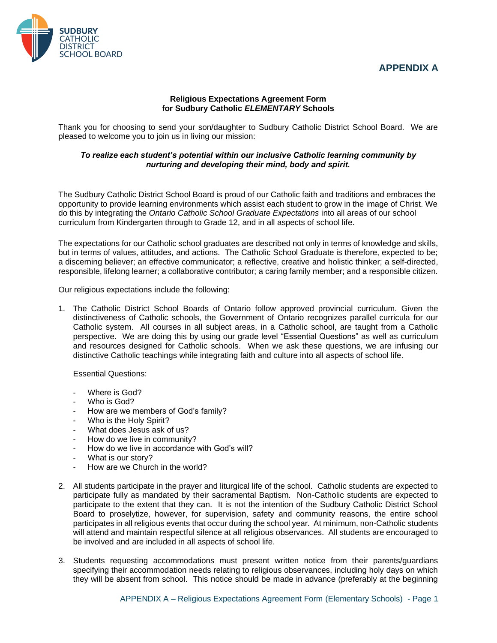## **APPENDIX A**



## **Religious Expectations Agreement Form for Sudbury Catholic** *ELEMENTARY* **Schools**

Thank you for choosing to send your son/daughter to Sudbury Catholic District School Board. We are pleased to welcome you to join us in living our mission:

## *To realize each student's potential within our inclusive Catholic learning community by nurturing and developing their mind, body and spirit.*

The Sudbury Catholic District School Board is proud of our Catholic faith and traditions and embraces the opportunity to provide learning environments which assist each student to grow in the image of Christ. We do this by integrating the *Ontario Catholic School Graduate Expectations* into all areas of our school curriculum from Kindergarten through to Grade 12, and in all aspects of school life.

The expectations for our Catholic school graduates are described not only in terms of knowledge and skills, but in terms of values, attitudes, and actions. The Catholic School Graduate is therefore, expected to be; a discerning believer; an effective communicator; a reflective, creative and holistic thinker; a self-directed, responsible, lifelong learner; a collaborative contributor; a caring family member; and a responsible citizen.

Our religious expectations include the following:

1. The Catholic District School Boards of Ontario follow approved provincial curriculum. Given the distinctiveness of Catholic schools, the Government of Ontario recognizes parallel curricula for our Catholic system. All courses in all subject areas, in a Catholic school, are taught from a Catholic perspective. We are doing this by using our grade level "Essential Questions" as well as curriculum and resources designed for Catholic schools. When we ask these questions, we are infusing our distinctive Catholic teachings while integrating faith and culture into all aspects of school life.

Essential Questions:

- Where is God?
- Who is God?
- How are we members of God's family?
- Who is the Holy Spirit?
- What does Jesus ask of us?
- How do we live in community?
- How do we live in accordance with God's will?
- What is our story?
- How are we Church in the world?
- 2. All students participate in the prayer and liturgical life of the school. Catholic students are expected to participate fully as mandated by their sacramental Baptism. Non-Catholic students are expected to participate to the extent that they can. It is not the intention of the Sudbury Catholic District School Board to proselytize, however, for supervision, safety and community reasons, the entire school participates in all religious events that occur during the school year. At minimum, non-Catholic students will attend and maintain respectful silence at all religious observances. All students are encouraged to be involved and are included in all aspects of school life.
- 3. Students requesting accommodations must present written notice from their parents/guardians specifying their accommodation needs relating to religious observances, including holy days on which they will be absent from school. This notice should be made in advance (preferably at the beginning